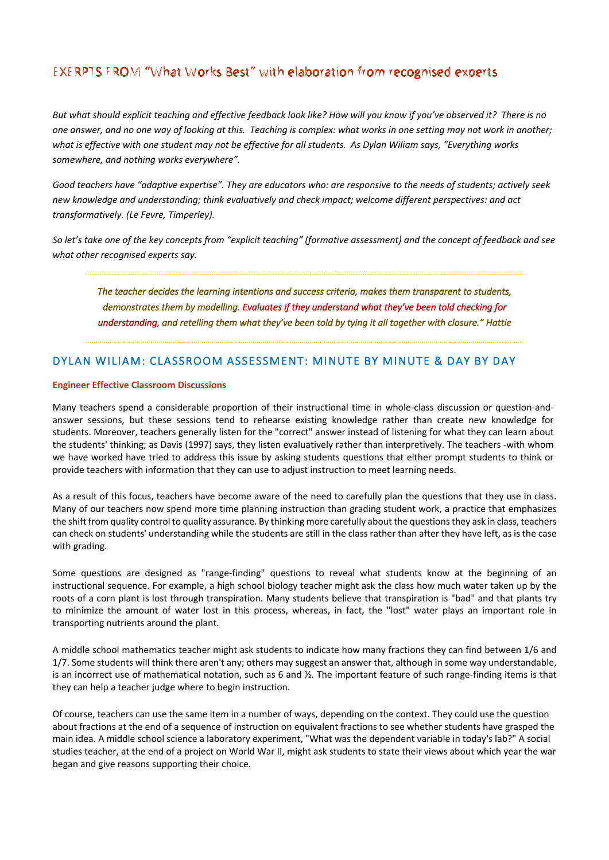# EXERPTS FROM "What Works Best" with elaboration from recognised experts

*But what should explicit teaching and effective feedback look like? How will you know if you've observed it? There is no one answer, and no one way of looking at this. Teaching is complex: what works in one setting may not work in another; what is effective with one student may not be effective for all students. As Dylan Wiliam says, "Everything works somewhere, and nothing works everywhere".*

*Good teachers have "adaptive expertise". They are educators who: are responsive to the needs of students; actively seek new knowledge and understanding; think evaluatively and check impact; welcome different perspectives: and act transformatively. (Le Fevre, Timperley).* 

*So let's take one of the key concepts from "explicit teaching" (formative assessment) and the concept of feedback and see what other recognised experts say.* 

*The teacher decides the learning intentions and success criteria, makes them transparent to students, demonstrates them by modelling. Evaluates if they understand what they've been told checking for understanding, and retelling them what they've been told by tying it all together with closure." Hattie* 

### DYLAN WILIAM: CLASSROOM ASSESSMENT: MINUTE BY MINUTE & DAY BY DAY

#### **Engineer Effective Classroom Discussions**

Many teachers spend a considerable proportion of their instructional time in whole-class discussion or question-andanswer sessions, but these sessions tend to rehearse existing knowledge rather than create new knowledge for students. Moreover, teachers generally listen for the "correct" answer instead of listening for what they can learn about the students' thinking; as Davis (1997) says, they listen evaluatively rather than interpretively. The teachers -with whom we have worked have tried to address this issue by asking students questions that either prompt students to think or provide teachers with information that they can use to adjust instruction to meet learning needs.

As a result of this focus, teachers have become aware of the need to carefully plan the questions that they use in class. Many of our teachers now spend more time planning instruction than grading student work, a practice that emphasizes the shift from quality control to quality assurance. By thinking more carefully about the questions they ask in class, teachers can check on students' understanding while the students are still in the class rather than after they have left, as is the case with grading.

Some questions are designed as "range-finding" questions to reveal what students know at the beginning of an instructional sequence. For example, a high school biology teacher might ask the class how much water taken up by the roots of a corn plant is lost through transpiration. Many students believe that transpiration is "bad" and that plants try to minimize the amount of water lost in this process, whereas, in fact, the "lost" water plays an important role in transporting nutrients around the plant.

A middle school mathematics teacher might ask students to indicate how many fractions they can find between 1/6 and 1/7. Some students will think there aren't any; others may suggest an answer that, although in some way understandable, is an incorrect use of mathematical notation, such as 6 and ½. The important feature of such range-finding items is that they can help a teacher judge where to begin instruction.

Of course, teachers can use the same item in a number of ways, depending on the context. They could use the question about fractions at the end of a sequence of instruction on equivalent fractions to see whether students have grasped the main idea. A middle school science a laboratory experiment, "What was the dependent variable in today's lab?" A social studies teacher, at the end of a project on World War II, might ask students to state their views about which year the war began and give reasons supporting their choice.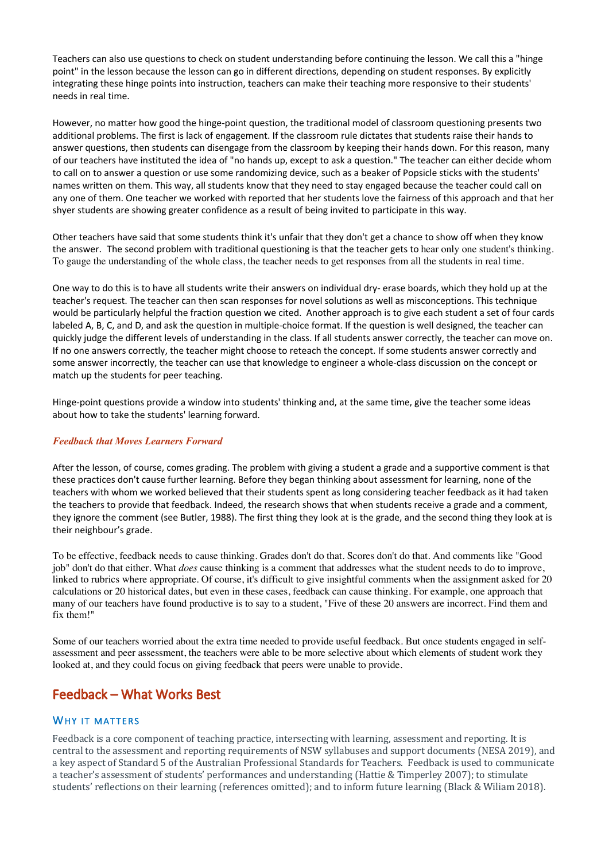Teachers can also use questions to check on student understanding before continuing the lesson. We call this a "hinge point" in the lesson because the lesson can go in different directions, depending on student responses. By explicitly integrating these hinge points into instruction, teachers can make their teaching more responsive to their students' needs in real time.

However, no matter how good the hinge-point question, the traditional model of classroom questioning presents two additional problems. The first is lack of engagement. If the classroom rule dictates that students raise their hands to answer questions, then students can disengage from the classroom by keeping their hands down. For this reason, many of our teachers have instituted the idea of "no hands up, except to ask a question." The teacher can either decide whom to call on to answer a question or use some randomizing device, such as a beaker of Popsicle sticks with the students' names written on them. This way, all students know that they need to stay engaged because the teacher could call on any one of them. One teacher we worked with reported that her students love the fairness of this approach and that her shyer students are showing greater confidence as a result of being invited to participate in this way.

Other teachers have said that some students think it's unfair that they don't get a chance to show off when they know the answer. The second problem with traditional questioning is that the teacher gets to hear only one student's thinking. To gauge the understanding of the whole class, the teacher needs to get responses from all the students in real time.

One way to do this is to have all students write their answers on individual dry- erase boards, which they hold up at the teacher's request. The teacher can then scan responses for novel solutions as well as misconceptions. This technique would be particularly helpful the fraction question we cited. Another approach is to give each student a set of four cards labeled A, B, C, and D, and ask the question in multiple-choice format. If the question is well designed, the teacher can quickly judge the different levels of understanding in the class. If all students answer correctly, the teacher can move on. If no one answers correctly, the teacher might choose to reteach the concept. If some students answer correctly and some answer incorrectly, the teacher can use that knowledge to engineer a whole-class discussion on the concept or match up the students for peer teaching.

Hinge-point questions provide a window into students' thinking and, at the same time, give the teacher some ideas about how to take the students' learning forward.

### *Feedback that Moves Learners Forward*

After the lesson, of course, comes grading. The problem with giving a student a grade and a supportive comment is that these practices don't cause further learning. Before they began thinking about assessment for learning, none of the teachers with whom we worked believed that their students spent as long considering teacher feedback as it had taken the teachers to provide that feedback. Indeed, the research shows that when students receive a grade and a comment, they ignore the comment (see Butler, 1988). The first thing they look at is the grade, and the second thing they look at is their neighbour's grade.

To be effective, feedback needs to cause thinking. Grades don't do that. Scores don't do that. And comments like "Good job" don't do that either. What *does* cause thinking is a comment that addresses what the student needs to do to improve, linked to rubrics where appropriate. Of course, it's difficult to give insightful comments when the assignment asked for 20 calculations or 20 historical dates, but even in these cases, feedback can cause thinking. For example, one approach that many of our teachers have found productive is to say to a student, "Five of these 20 answers are incorrect. Find them and fix them!"

Some of our teachers worried about the extra time needed to provide useful feedback. But once students engaged in selfassessment and peer assessment, the teachers were able to be more selective about which elements of student work they looked at, and they could focus on giving feedback that peers were unable to provide.

# **Feedback - What Works Best**

### WHY IT MATTERS

Feedback is a core component of teaching practice, intersecting with learning, assessment and reporting. It is central to the assessment and reporting requirements of NSW syllabuses and support documents (NESA 2019), and a key aspect of Standard 5 of the Australian Professional Standards for Teachers. Feedback is used to communicate a teacher's assessment of students' performances and understanding (Hattie & Timperley 2007); to stimulate students' reflections on their learning (references omitted); and to inform future learning (Black & Wiliam 2018).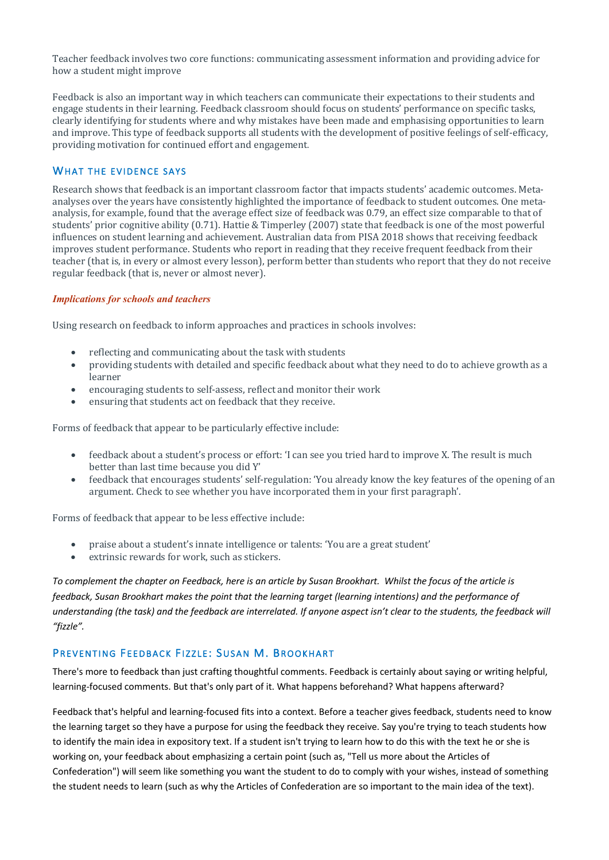Teacher feedback involves two core functions: communicating assessment information and providing advice for how a student might improve

Feedback is also an important way in which teachers can communicate their expectations to their students and engage students in their learning. Feedback classroom should focus on students' performance on specific tasks, clearly identifying for students where and why mistakes have been made and emphasising opportunities to learn and improve. This type of feedback supports all students with the development of positive feelings of self-efficacy, providing motivation for continued effort and engagement.

## WHAT THE EVIDENCE SAYS

Research shows that feedback is an important classroom factor that impacts students' academic outcomes. Metaanalyses over the years have consistently highlighted the importance of feedback to student outcomes. One metaanalysis, for example, found that the average effect size of feedback was 0.79, an effect size comparable to that of students' prior cognitive ability (0.71). Hattie & Timperley (2007) state that feedback is one of the most powerful influences on student learning and achievement. Australian data from PISA 2018 shows that receiving feedback improves student performance. Students who report in reading that they receive frequent feedback from their teacher (that is, in every or almost every lesson), perform better than students who report that they do not receive regular feedback (that is, never or almost never).

### *Implications for schools and teachers*

Using research on feedback to inform approaches and practices in schools involves:

- reflecting and communicating about the task with students
- providing students with detailed and specific feedback about what they need to do to achieve growth as a learner
- encouraging students to self-assess, reflect and monitor their work
- ensuring that students act on feedback that they receive.

Forms of feedback that appear to be particularly effective include:

- feedback about a student's process or effort: 'I can see you tried hard to improve X. The result is much better than last time because you did Y'
- feedback that encourages students' self-regulation: 'You already know the key features of the opening of an argument. Check to see whether you have incorporated them in your first paragraph'.

Forms of feedback that appear to be less effective include:

- praise about a student's innate intelligence or talents: 'You are a great student'
- extrinsic rewards for work, such as stickers.

*To complement the chapter on Feedback, here is an article by Susan Brookhart. Whilst the focus of the article is feedback, Susan Brookhart makes the point that the learning target (learning intentions) and the performance of understanding (the task) and the feedback are interrelated. If anyone aspect isn't clear to the students, the feedback will "fizzle".* 

## PREVENTING FEEDBACK FIZZLE: SUSAN M. BROOKHART

There's more to feedback than just crafting thoughtful comments. Feedback is certainly about saying or writing helpful, learning-focused comments. But that's only part of it. What happens beforehand? What happens afterward?

Feedback that's helpful and learning-focused fits into a context. Before a teacher gives feedback, students need to know the learning target so they have a purpose for using the feedback they receive. Say you're trying to teach students how to identify the main idea in expository text. If a student isn't trying to learn how to do this with the text he or she is working on, your feedback about emphasizing a certain point (such as, "Tell us more about the Articles of Confederation") will seem like something you want the student to do to comply with your wishes, instead of something the student needs to learn (such as why the Articles of Confederation are so important to the main idea of the text).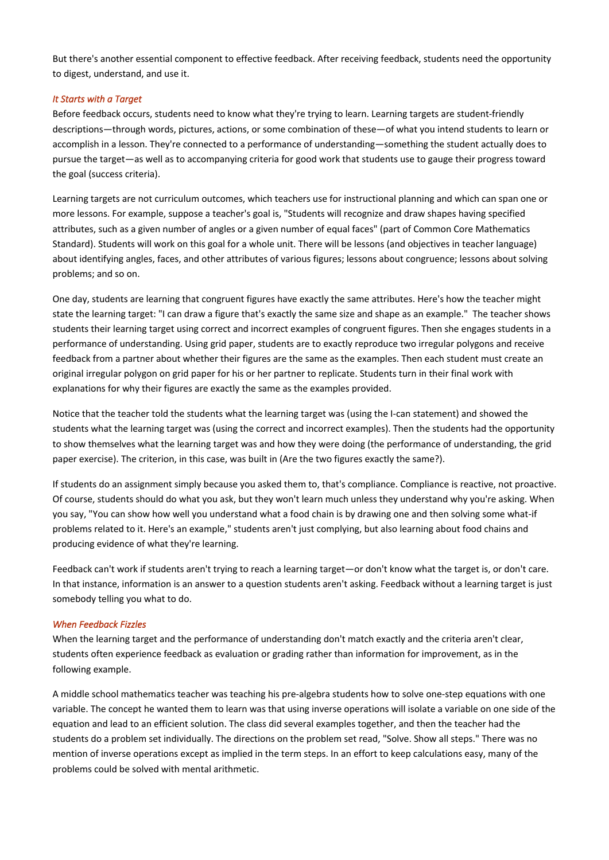But there's another essential component to effective feedback. After receiving feedback, students need the opportunity to digest, understand, and use it.

### *It Starts with a Target*

Before feedback occurs, students need to know what they're trying to learn. Learning targets are student-friendly descriptions—through words, pictures, actions, or some combination of these—of what you intend students to learn or accomplish in a lesson. They're connected to a performance of understanding—something the student actually does to pursue the target—as well as to accompanying criteria for good work that students use to gauge their progress toward the goal (success criteria).

Learning targets are not curriculum outcomes, which teachers use for instructional planning and which can span one or more lessons. For example, suppose a teacher's goal is, "Students will recognize and draw shapes having specified attributes, such as a given number of angles or a given number of equal faces" (part of Common Core Mathematics Standard). Students will work on this goal for a whole unit. There will be lessons (and objectives in teacher language) about identifying angles, faces, and other attributes of various figures; lessons about congruence; lessons about solving problems; and so on.

One day, students are learning that congruent figures have exactly the same attributes. Here's how the teacher might state the learning target: "I can draw a figure that's exactly the same size and shape as an example." The teacher shows students their learning target using correct and incorrect examples of congruent figures. Then she engages students in a performance of understanding. Using grid paper, students are to exactly reproduce two irregular polygons and receive feedback from a partner about whether their figures are the same as the examples. Then each student must create an original irregular polygon on grid paper for his or her partner to replicate. Students turn in their final work with explanations for why their figures are exactly the same as the examples provided.

Notice that the teacher told the students what the learning target was (using the I-can statement) and showed the students what the learning target was (using the correct and incorrect examples). Then the students had the opportunity to show themselves what the learning target was and how they were doing (the performance of understanding, the grid paper exercise). The criterion, in this case, was built in (Are the two figures exactly the same?).

If students do an assignment simply because you asked them to, that's compliance. Compliance is reactive, not proactive. Of course, students should do what you ask, but they won't learn much unless they understand why you're asking. When you say, "You can show how well you understand what a food chain is by drawing one and then solving some what-if problems related to it. Here's an example," students aren't just complying, but also learning about food chains and producing evidence of what they're learning.

Feedback can't work if students aren't trying to reach a learning target—or don't know what the target is, or don't care. In that instance, information is an answer to a question students aren't asking. Feedback without a learning target is just somebody telling you what to do.

### *When Feedback Fizzles*

When the learning target and the performance of understanding don't match exactly and the criteria aren't clear, students often experience feedback as evaluation or grading rather than information for improvement, as in the following example.

A middle school mathematics teacher was teaching his pre-algebra students how to solve one-step equations with one variable. The concept he wanted them to learn was that using inverse operations will isolate a variable on one side of the equation and lead to an efficient solution. The class did several examples together, and then the teacher had the students do a problem set individually. The directions on the problem set read, "Solve. Show all steps." There was no mention of inverse operations except as implied in the term steps. In an effort to keep calculations easy, many of the problems could be solved with mental arithmetic.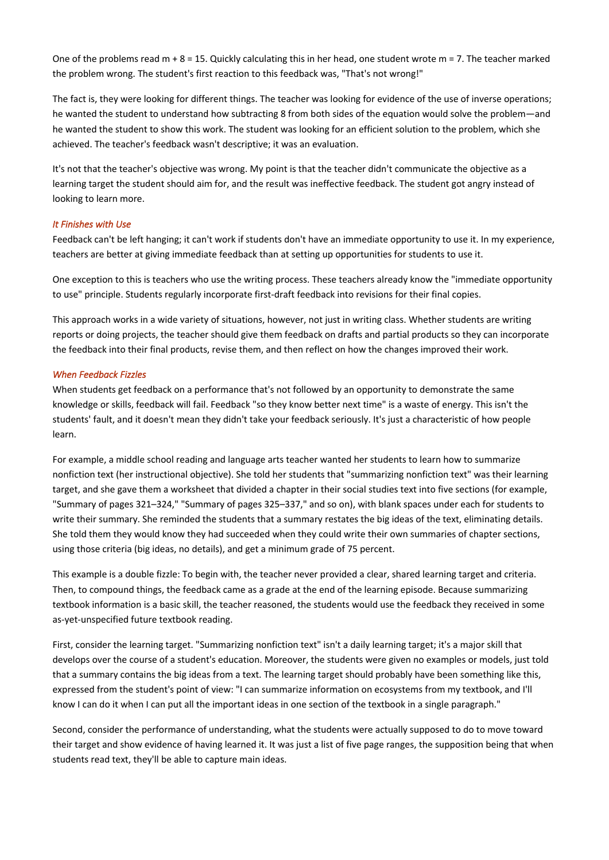One of the problems read  $m + 8 = 15$ . Quickly calculating this in her head, one student wrote  $m = 7$ . The teacher marked the problem wrong. The student's first reaction to this feedback was, "That's not wrong!"

The fact is, they were looking for different things. The teacher was looking for evidence of the use of inverse operations; he wanted the student to understand how subtracting 8 from both sides of the equation would solve the problem—and he wanted the student to show this work. The student was looking for an efficient solution to the problem, which she achieved. The teacher's feedback wasn't descriptive; it was an evaluation.

It's not that the teacher's objective was wrong. My point is that the teacher didn't communicate the objective as a learning target the student should aim for, and the result was ineffective feedback. The student got angry instead of looking to learn more.

### *It Finishes with Use*

Feedback can't be left hanging; it can't work if students don't have an immediate opportunity to use it. In my experience, teachers are better at giving immediate feedback than at setting up opportunities for students to use it.

One exception to this is teachers who use the writing process. These teachers already know the "immediate opportunity to use" principle. Students regularly incorporate first-draft feedback into revisions for their final copies.

This approach works in a wide variety of situations, however, not just in writing class. Whether students are writing reports or doing projects, the teacher should give them feedback on drafts and partial products so they can incorporate the feedback into their final products, revise them, and then reflect on how the changes improved their work.

### *When Feedback Fizzles*

When students get feedback on a performance that's not followed by an opportunity to demonstrate the same knowledge or skills, feedback will fail. Feedback "so they know better next time" is a waste of energy. This isn't the students' fault, and it doesn't mean they didn't take your feedback seriously. It's just a characteristic of how people learn.

For example, a middle school reading and language arts teacher wanted her students to learn how to summarize nonfiction text (her instructional objective). She told her students that "summarizing nonfiction text" was their learning target, and she gave them a worksheet that divided a chapter in their social studies text into five sections (for example, "Summary of pages 321–324," "Summary of pages 325–337," and so on), with blank spaces under each for students to write their summary. She reminded the students that a summary restates the big ideas of the text, eliminating details. She told them they would know they had succeeded when they could write their own summaries of chapter sections, using those criteria (big ideas, no details), and get a minimum grade of 75 percent.

This example is a double fizzle: To begin with, the teacher never provided a clear, shared learning target and criteria. Then, to compound things, the feedback came as a grade at the end of the learning episode. Because summarizing textbook information is a basic skill, the teacher reasoned, the students would use the feedback they received in some as-yet-unspecified future textbook reading.

First, consider the learning target. "Summarizing nonfiction text" isn't a daily learning target; it's a major skill that develops over the course of a student's education. Moreover, the students were given no examples or models, just told that a summary contains the big ideas from a text. The learning target should probably have been something like this, expressed from the student's point of view: "I can summarize information on ecosystems from my textbook, and I'll know I can do it when I can put all the important ideas in one section of the textbook in a single paragraph."

Second, consider the performance of understanding, what the students were actually supposed to do to move toward their target and show evidence of having learned it. It was just a list of five page ranges, the supposition being that when students read text, they'll be able to capture main ideas.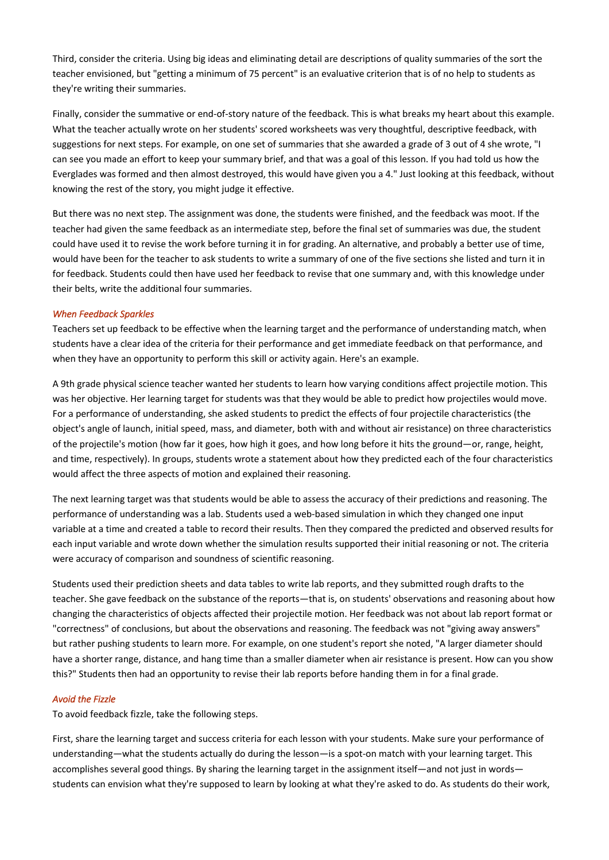Third, consider the criteria. Using big ideas and eliminating detail are descriptions of quality summaries of the sort the teacher envisioned, but "getting a minimum of 75 percent" is an evaluative criterion that is of no help to students as they're writing their summaries.

Finally, consider the summative or end-of-story nature of the feedback. This is what breaks my heart about this example. What the teacher actually wrote on her students' scored worksheets was very thoughtful, descriptive feedback, with suggestions for next steps. For example, on one set of summaries that she awarded a grade of 3 out of 4 she wrote, "I can see you made an effort to keep your summary brief, and that was a goal of this lesson. If you had told us how the Everglades was formed and then almost destroyed, this would have given you a 4." Just looking at this feedback, without knowing the rest of the story, you might judge it effective.

But there was no next step. The assignment was done, the students were finished, and the feedback was moot. If the teacher had given the same feedback as an intermediate step, before the final set of summaries was due, the student could have used it to revise the work before turning it in for grading. An alternative, and probably a better use of time, would have been for the teacher to ask students to write a summary of one of the five sections she listed and turn it in for feedback. Students could then have used her feedback to revise that one summary and, with this knowledge under their belts, write the additional four summaries.

### *When Feedback Sparkles*

Teachers set up feedback to be effective when the learning target and the performance of understanding match, when students have a clear idea of the criteria for their performance and get immediate feedback on that performance, and when they have an opportunity to perform this skill or activity again. Here's an example.

A 9th grade physical science teacher wanted her students to learn how varying conditions affect projectile motion. This was her objective. Her learning target for students was that they would be able to predict how projectiles would move. For a performance of understanding, she asked students to predict the effects of four projectile characteristics (the object's angle of launch, initial speed, mass, and diameter, both with and without air resistance) on three characteristics of the projectile's motion (how far it goes, how high it goes, and how long before it hits the ground—or, range, height, and time, respectively). In groups, students wrote a statement about how they predicted each of the four characteristics would affect the three aspects of motion and explained their reasoning.

The next learning target was that students would be able to assess the accuracy of their predictions and reasoning. The performance of understanding was a lab. Students used a web-based simulation in which they changed one input variable at a time and created a table to record their results. Then they compared the predicted and observed results for each input variable and wrote down whether the simulation results supported their initial reasoning or not. The criteria were accuracy of comparison and soundness of scientific reasoning.

Students used their prediction sheets and data tables to write lab reports, and they submitted rough drafts to the teacher. She gave feedback on the substance of the reports—that is, on students' observations and reasoning about how changing the characteristics of objects affected their projectile motion. Her feedback was not about lab report format or "correctness" of conclusions, but about the observations and reasoning. The feedback was not "giving away answers" but rather pushing students to learn more. For example, on one student's report she noted, "A larger diameter should have a shorter range, distance, and hang time than a smaller diameter when air resistance is present. How can you show this?" Students then had an opportunity to revise their lab reports before handing them in for a final grade.

### *Avoid the Fizzle*

To avoid feedback fizzle, take the following steps.

First, share the learning target and success criteria for each lesson with your students. Make sure your performance of understanding—what the students actually do during the lesson—is a spot-on match with your learning target. This accomplishes several good things. By sharing the learning target in the assignment itself—and not just in words students can envision what they're supposed to learn by looking at what they're asked to do. As students do their work,